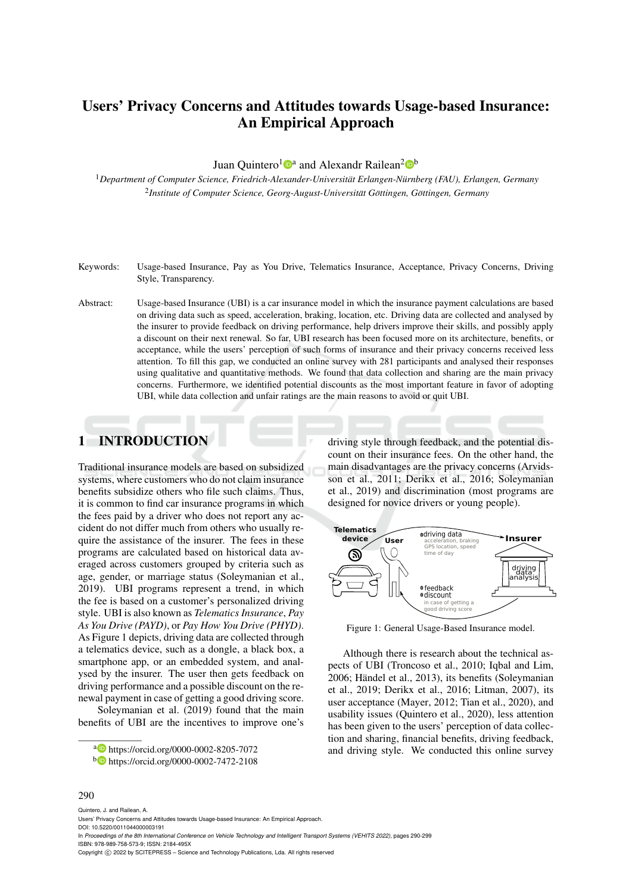# Users' Privacy Concerns and Attitudes towards Usage-based Insurance: An Empirical Approach

Juan Quintero<sup>1</sup><sup>®</sup> and Alexandr Railean<sup>2</sup><sup>®</sup>

<sup>1</sup>*Department of Computer Science, Friedrich-Alexander-Universitat Erlangen-N ¨ urnberg (FAU), Erlangen, Germany ¨* <sup>2</sup> Institute of Computer Science, Georg-August-Universität Göttingen, Göttingen, Germany

- Keywords: Usage-based Insurance, Pay as You Drive, Telematics Insurance, Acceptance, Privacy Concerns, Driving Style, Transparency.
- Abstract: Usage-based Insurance (UBI) is a car insurance model in which the insurance payment calculations are based on driving data such as speed, acceleration, braking, location, etc. Driving data are collected and analysed by the insurer to provide feedback on driving performance, help drivers improve their skills, and possibly apply a discount on their next renewal. So far, UBI research has been focused more on its architecture, benefits, or acceptance, while the users' perception of such forms of insurance and their privacy concerns received less attention. To fill this gap, we conducted an online survey with 281 participants and analysed their responses using qualitative and quantitative methods. We found that data collection and sharing are the main privacy concerns. Furthermore, we identified potential discounts as the most important feature in favor of adopting UBI, while data collection and unfair ratings are the main reasons to avoid or quit UBI.

# 1 INTRODUCTION

Traditional insurance models are based on subsidized systems, where customers who do not claim insurance benefits subsidize others who file such claims. Thus, it is common to find car insurance programs in which the fees paid by a driver who does not report any accident do not differ much from others who usually require the assistance of the insurer. The fees in these programs are calculated based on historical data averaged across customers grouped by criteria such as age, gender, or marriage status (Soleymanian et al., 2019). UBI programs represent a trend, in which the fee is based on a customer's personalized driving style. UBI is also known as *Telematics Insurance*, *Pay As You Drive (PAYD)*, or *Pay How You Drive (PHYD)*. As Figure 1 depicts, driving data are collected through a telematics device, such as a dongle, a black box, a smartphone app, or an embedded system, and analysed by the insurer. The user then gets feedback on driving performance and a possible discount on the renewal payment in case of getting a good driving score.

Soleymanian et al. (2019) found that the main benefits of UBI are the incentives to improve one's driving style through feedback, and the potential discount on their insurance fees. On the other hand, the main disadvantages are the privacy concerns (Arvidsson et al., 2011; Derikx et al., 2016; Soleymanian et al., 2019) and discrimination (most programs are designed for novice drivers or young people).



Figure 1: General Usage-Based Insurance model.

Although there is research about the technical aspects of UBI (Troncoso et al., 2010; Iqbal and Lim, 2006; Händel et al., 2013), its benefits (Soleymanian et al., 2019; Derikx et al., 2016; Litman, 2007), its user acceptance (Mayer, 2012; Tian et al., 2020), and usability issues (Quintero et al., 2020), less attention has been given to the users' perception of data collection and sharing, financial benefits, driving feedback, and driving style. We conducted this online survey

#### 290

Quintero, J. and Railean, A. Users' Privacy Concerns and Attitudes towards Usage-based Insurance: An Empirical Approach. DOI: 10.5220/0011044000003191 In *Proceedings of the 8th International Conference on Vehicle Technology and Intelligent Transport Systems (VEHITS 2022)*, pages 290-299 ISBN: 978-989-758-573-9; ISSN: 2184-495X Copyright (C) 2022 by SCITEPRESS - Science and Technology Publications, Lda. All rights reserved

<sup>a</sup> https://orcid.org/0000-0002-8205-7072

<sup>b</sup> https://orcid.org/0000-0002-7472-2108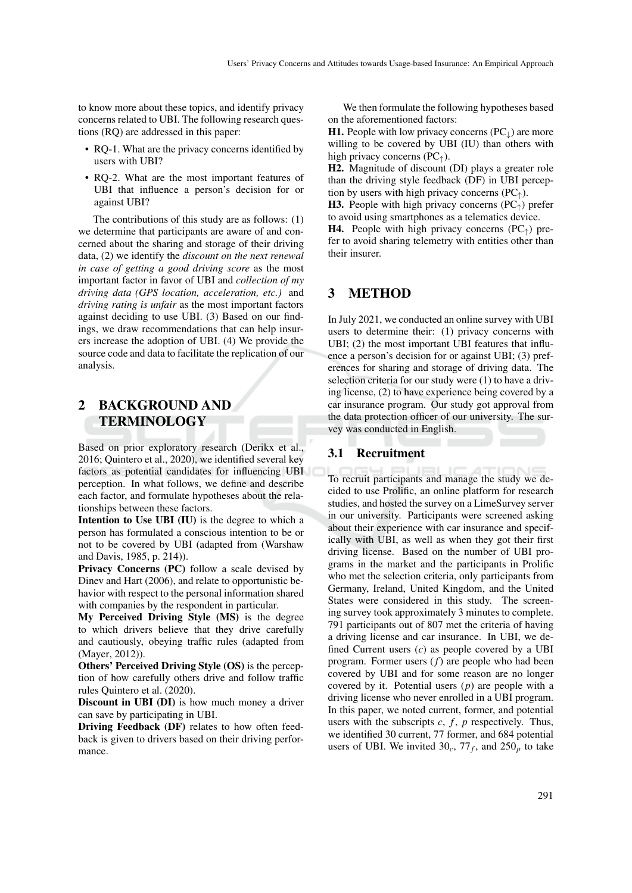to know more about these topics, and identify privacy concerns related to UBI. The following research questions (RQ) are addressed in this paper:

- RQ-1. What are the privacy concerns identified by users with UBI?
- RQ-2. What are the most important features of UBI that influence a person's decision for or against UBI?

The contributions of this study are as follows: (1) we determine that participants are aware of and concerned about the sharing and storage of their driving data, (2) we identify the *discount on the next renewal in case of getting a good driving score* as the most important factor in favor of UBI and *collection of my driving data (GPS location, acceleration, etc.)* and *driving rating is unfair* as the most important factors against deciding to use UBI. (3) Based on our findings, we draw recommendations that can help insurers increase the adoption of UBI. (4) We provide the source code and data to facilitate the replication of our analysis.

# 2 BACKGROUND AND TERMINOLOGY

Based on prior exploratory research (Derikx et al., 2016; Quintero et al., 2020), we identified several key factors as potential candidates for influencing UBI perception. In what follows, we define and describe each factor, and formulate hypotheses about the relationships between these factors.

Intention to Use UBI (IU) is the degree to which a person has formulated a conscious intention to be or not to be covered by UBI (adapted from (Warshaw and Davis, 1985, p. 214)).

Privacy Concerns (PC) follow a scale devised by Dinev and Hart (2006), and relate to opportunistic behavior with respect to the personal information shared with companies by the respondent in particular.

My Perceived Driving Style (MS) is the degree to which drivers believe that they drive carefully and cautiously, obeying traffic rules (adapted from (Mayer, 2012)).

Others' Perceived Driving Style (OS) is the perception of how carefully others drive and follow traffic rules Quintero et al. (2020).

Discount in UBI (DI) is how much money a driver can save by participating in UBI.

Driving Feedback (DF) relates to how often feedback is given to drivers based on their driving performance.

We then formulate the following hypotheses based on the aforementioned factors:

H1. People with low privacy concerns  $(PC<sub>⊥</sub>)$  are more willing to be covered by UBI (IU) than others with high privacy concerns ( $PC<sub>†</sub>$ ).

H2. Magnitude of discount (DI) plays a greater role than the driving style feedback (DF) in UBI perception by users with high privacy concerns  $(PC<sub>†</sub>)$ .

**H3.** People with high privacy concerns  $(PC<sub>†</sub>)$  prefer to avoid using smartphones as a telematics device.

**H4.** People with high privacy concerns  $(PC<sub>^</sub>)$  prefer to avoid sharing telemetry with entities other than their insurer.

# 3 METHOD

In July 2021, we conducted an online survey with UBI users to determine their: (1) privacy concerns with UBI; (2) the most important UBI features that influence a person's decision for or against UBI; (3) preferences for sharing and storage of driving data. The selection criteria for our study were (1) to have a driving license, (2) to have experience being covered by a car insurance program. Our study got approval from the data protection officer of our university. The survey was conducted in English.

#### 3.1 Recruitment

To recruit participants and manage the study we decided to use Prolific, an online platform for research studies, and hosted the survey on a LimeSurvey server in our university. Participants were screened asking about their experience with car insurance and specifically with UBI, as well as when they got their first driving license. Based on the number of UBI programs in the market and the participants in Prolific who met the selection criteria, only participants from Germany, Ireland, United Kingdom, and the United States were considered in this study. The screening survey took approximately 3 minutes to complete. 791 participants out of 807 met the criteria of having a driving license and car insurance. In UBI, we defined Current users (*c*) as people covered by a UBI program. Former users (*f*) are people who had been covered by UBI and for some reason are no longer covered by it. Potential users (*p*) are people with a driving license who never enrolled in a UBI program. In this paper, we noted current, former, and potential users with the subscripts  $c, f, p$  respectively. Thus, we identified 30 current, 77 former, and 684 potential users of UBI. We invited  $30_c$ ,  $77_f$ , and  $250_p$  to take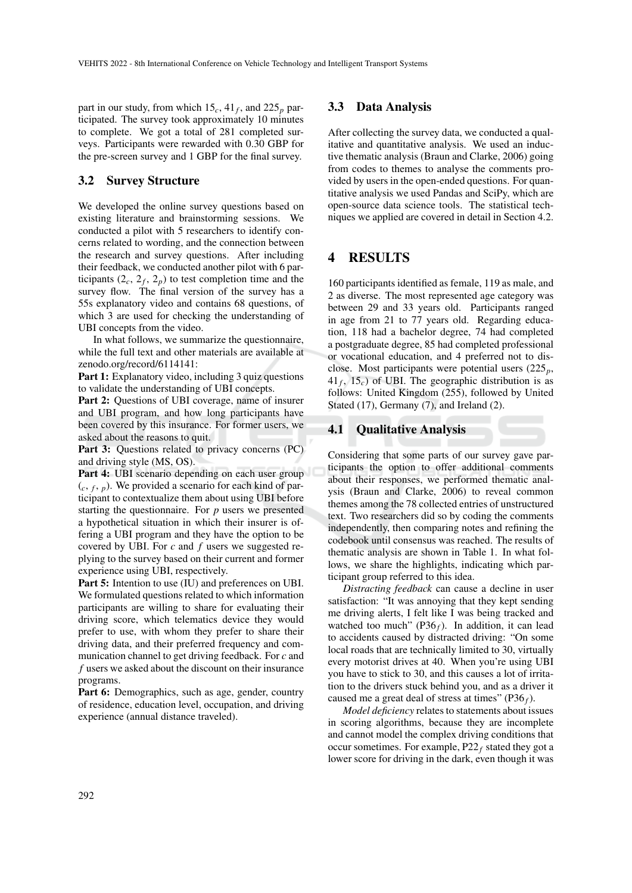part in our study, from which 15*c*, 41*<sup>f</sup>* , and 225*<sup>p</sup>* participated. The survey took approximately 10 minutes to complete. We got a total of 281 completed surveys. Participants were rewarded with 0.30 GBP for the pre-screen survey and 1 GBP for the final survey.

#### 3.2 Survey Structure

We developed the online survey questions based on existing literature and brainstorming sessions. We conducted a pilot with 5 researchers to identify concerns related to wording, and the connection between the research and survey questions. After including their feedback, we conducted another pilot with 6 participants  $(2_c, 2_f, 2_p)$  to test completion time and the survey flow. The final version of the survey has a 55s explanatory video and contains 68 questions, of which 3 are used for checking the understanding of UBI concepts from the video.

In what follows, we summarize the questionnaire, while the full text and other materials are available at zenodo.org/record/6114141:

Part 1: Explanatory video, including 3 quiz questions to validate the understanding of UBI concepts.

Part 2: Questions of UBI coverage, name of insurer and UBI program, and how long participants have been covered by this insurance. For former users, we asked about the reasons to quit.

Part 3: Questions related to privacy concerns (PC) and driving style (MS, OS).

Part 4: UBI scenario depending on each user group  $(c, f, p)$ . We provided a scenario for each kind of participant to contextualize them about using UBI before starting the questionnaire. For *p* users we presented a hypothetical situation in which their insurer is offering a UBI program and they have the option to be covered by UBI. For *c* and *f* users we suggested replying to the survey based on their current and former experience using UBI, respectively.

Part 5: Intention to use (IU) and preferences on UBI. We formulated questions related to which information participants are willing to share for evaluating their driving score, which telematics device they would prefer to use, with whom they prefer to share their driving data, and their preferred frequency and communication channel to get driving feedback. For *c* and *f* users we asked about the discount on their insurance programs.

Part 6: Demographics, such as age, gender, country of residence, education level, occupation, and driving experience (annual distance traveled).

#### 3.3 Data Analysis

After collecting the survey data, we conducted a qualitative and quantitative analysis. We used an inductive thematic analysis (Braun and Clarke, 2006) going from codes to themes to analyse the comments provided by users in the open-ended questions. For quantitative analysis we used Pandas and SciPy, which are open-source data science tools. The statistical techniques we applied are covered in detail in Section 4.2.

## 4 RESULTS

160 participants identified as female, 119 as male, and 2 as diverse. The most represented age category was between 29 and 33 years old. Participants ranged in age from 21 to 77 years old. Regarding education, 118 had a bachelor degree, 74 had completed a postgraduate degree, 85 had completed professional or vocational education, and 4 preferred not to disclose. Most participants were potential users (225*p*,  $41_f$ ,  $15_c$ ) of UBI. The geographic distribution is as follows: United Kingdom (255), followed by United Stated (17), Germany (7), and Ireland (2).

#### 4.1 Qualitative Analysis

Considering that some parts of our survey gave participants the option to offer additional comments about their responses, we performed thematic analysis (Braun and Clarke, 2006) to reveal common themes among the 78 collected entries of unstructured text. Two researchers did so by coding the comments independently, then comparing notes and refining the codebook until consensus was reached. The results of thematic analysis are shown in Table 1. In what follows, we share the highlights, indicating which participant group referred to this idea.

*Distracting feedback* can cause a decline in user satisfaction: "It was annoying that they kept sending me driving alerts, I felt like I was being tracked and watched too much"  $(P36<sub>f</sub>)$ . In addition, it can lead to accidents caused by distracted driving: "On some local roads that are technically limited to 30, virtually every motorist drives at 40. When you're using UBI you have to stick to 30, and this causes a lot of irritation to the drivers stuck behind you, and as a driver it caused me a great deal of stress at times" (P36*f*).

*Model deficiency* relates to statements about issues in scoring algorithms, because they are incomplete and cannot model the complex driving conditions that occur sometimes. For example,  $P22_f$  stated they got a lower score for driving in the dark, even though it was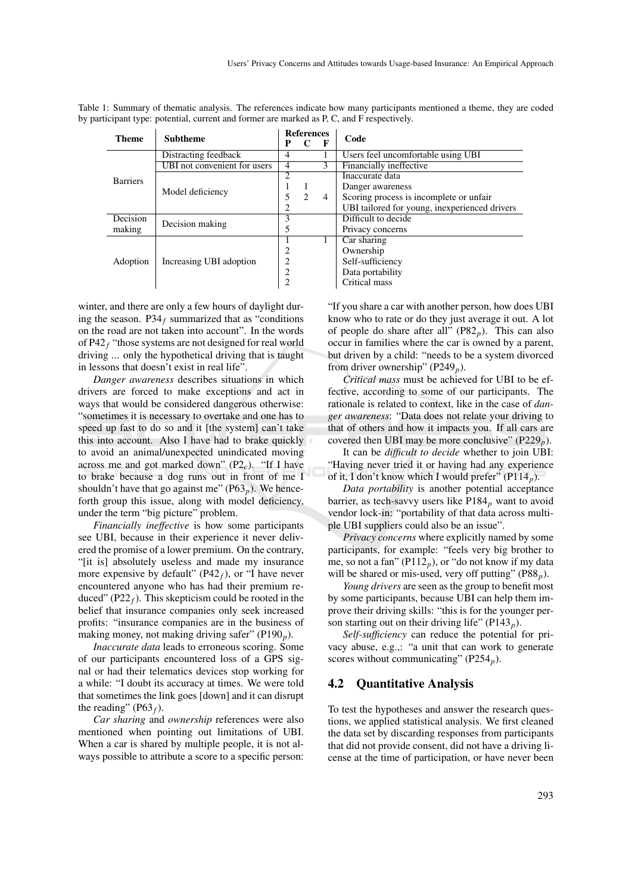| <b>Theme</b>    | <b>Subtheme</b>              | <b>References</b> |                    |                                                                                                                                                                                                                  |                                               |  |
|-----------------|------------------------------|-------------------|--------------------|------------------------------------------------------------------------------------------------------------------------------------------------------------------------------------------------------------------|-----------------------------------------------|--|
|                 |                              | P                 |                    | Code<br>F<br>Financially ineffective<br>Inaccurate data<br>Danger awareness<br>4<br>Difficult to decide<br>Privacy concerns<br>Car sharing<br>Ownership<br>Self-sufficiency<br>Data portability<br>Critical mass |                                               |  |
|                 | Distracting feedback         | 4                 |                    |                                                                                                                                                                                                                  | Users feel uncomfortable using UBI            |  |
|                 | UBI not convenient for users | 4                 |                    |                                                                                                                                                                                                                  |                                               |  |
| <b>Barriers</b> | Model deficiency             | 2                 |                    |                                                                                                                                                                                                                  |                                               |  |
|                 |                              |                   |                    |                                                                                                                                                                                                                  |                                               |  |
|                 |                              | 5                 | $\mathfrak{D}_{1}$ |                                                                                                                                                                                                                  | Scoring process is incomplete or unfair       |  |
|                 |                              | $\overline{c}$    |                    |                                                                                                                                                                                                                  | UBI tailored for young, inexperienced drivers |  |
| Decision        | 3<br>Decision making         |                   |                    |                                                                                                                                                                                                                  |                                               |  |
| making          |                              | 5                 |                    |                                                                                                                                                                                                                  |                                               |  |
| Adoption        | Increasing UBI adoption      |                   |                    |                                                                                                                                                                                                                  |                                               |  |
|                 |                              | 2                 |                    |                                                                                                                                                                                                                  |                                               |  |
|                 |                              | 2                 |                    |                                                                                                                                                                                                                  |                                               |  |
|                 |                              | $\overline{c}$    |                    |                                                                                                                                                                                                                  |                                               |  |
|                 |                              | $\overline{c}$    |                    |                                                                                                                                                                                                                  |                                               |  |

Table 1: Summary of thematic analysis. The references indicate how many participants mentioned a theme, they are coded by participant type: potential, current and former are marked as P, C, and F respectively.

winter, and there are only a few hours of daylight during the season.  $P34_f$  summarized that as "conditions" on the road are not taken into account". In the words of P42*<sup>f</sup>* "those systems are not designed for real world driving ... only the hypothetical driving that is taught in lessons that doesn't exist in real life".

*Danger awareness* describes situations in which drivers are forced to make exceptions and act in ways that would be considered dangerous otherwise: "sometimes it is necessary to overtake and one has to speed up fast to do so and it [the system] can't take this into account. Also I have had to brake quickly to avoid an animal/unexpected unindicated moving across me and got marked down"  $(P2<sub>c</sub>)$ . "If I have to brake because a dog runs out in front of me I shouldn't have that go against me" ( $P63<sub>p</sub>$ ). We henceforth group this issue, along with model deficiency, under the term "big picture" problem.

*Financially ineffective* is how some participants see UBI, because in their experience it never delivered the promise of a lower premium. On the contrary, "[it is] absolutely useless and made my insurance more expensive by default"  $(P42<sub>f</sub>)$ , or "I have never encountered anyone who has had their premium reduced" (P22 $_f$ ). This skepticism could be rooted in the belief that insurance companies only seek increased profits: "insurance companies are in the business of making money, not making driving safer" (P190*p*).

*Inaccurate data* leads to erroneous scoring. Some of our participants encountered loss of a GPS signal or had their telematics devices stop working for a while: "I doubt its accuracy at times. We were told that sometimes the link goes [down] and it can disrupt the reading" (P63 $_f$ ).

*Car sharing* and *ownership* references were also mentioned when pointing out limitations of UBI. When a car is shared by multiple people, it is not always possible to attribute a score to a specific person:

"If you share a car with another person, how does UBI know who to rate or do they just average it out. A lot of people do share after all"  $(P82<sub>n</sub>)$ . This can also occur in families where the car is owned by a parent, but driven by a child: "needs to be a system divorced from driver ownership" (P249<sub>p</sub>).

*Critical mass* must be achieved for UBI to be effective, according to some of our participants. The rationale is related to context, like in the case of *danger awareness*: "Data does not relate your driving to that of others and how it impacts you. If all cars are covered then UBI may be more conclusive"  $(P229<sub>n</sub>)$ .

It can be *difficult to decide* whether to join UBI: "Having never tried it or having had any experience of it, I don't know which I would prefer" (P114*p*).

*Data portability* is another potential acceptance barrier, as tech-savvy users like  $P184<sub>p</sub>$  want to avoid vendor lock-in: "portability of that data across multiple UBI suppliers could also be an issue".

*Privacy concerns* where explicitly named by some participants, for example: "feels very big brother to me, so not a fan" ( $P112<sub>p</sub>$ ), or "do not know if my data will be shared or mis-used, very off putting"  $(PS8<sub>p</sub>)$ .

*Young drivers* are seen as the group to benefit most by some participants, because UBI can help them improve their driving skills: "this is for the younger person starting out on their driving life" (P143 $<sub>p</sub>$ ).</sub>

*Self-sufficiency* can reduce the potential for privacy abuse, e.g.,: "a unit that can work to generate scores without communicating" (P254<sub>p</sub>).

#### 4.2 Quantitative Analysis

To test the hypotheses and answer the research questions, we applied statistical analysis. We first cleaned the data set by discarding responses from participants that did not provide consent, did not have a driving license at the time of participation, or have never been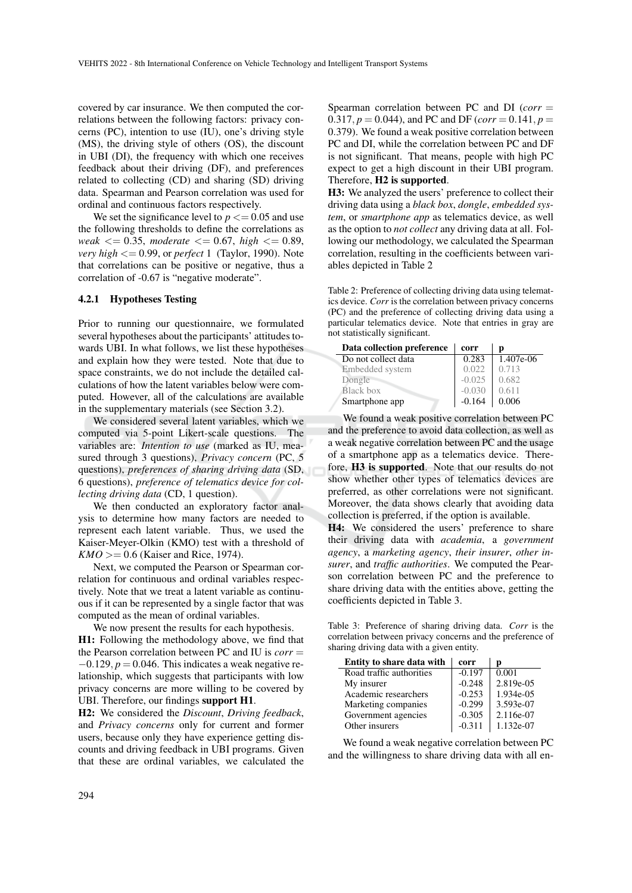covered by car insurance. We then computed the correlations between the following factors: privacy concerns (PC), intention to use (IU), one's driving style (MS), the driving style of others (OS), the discount in UBI (DI), the frequency with which one receives feedback about their driving (DF), and preferences related to collecting (CD) and sharing (SD) driving data. Spearman and Pearson correlation was used for ordinal and continuous factors respectively.

We set the significance level to  $p \leq 0.05$  and use the following thresholds to define the correlations as *weak* <= 0.35, *moderate* <= 0.67, *high* <= 0.89, *very high* <= 0.99, or *perfect* 1 (Taylor, 1990). Note that correlations can be positive or negative, thus a correlation of -0.67 is "negative moderate".

#### 4.2.1 Hypotheses Testing

Prior to running our questionnaire, we formulated several hypotheses about the participants' attitudes towards UBI. In what follows, we list these hypotheses and explain how they were tested. Note that due to space constraints, we do not include the detailed calculations of how the latent variables below were computed. However, all of the calculations are available in the supplementary materials (see Section 3.2).

We considered several latent variables, which we computed via 5-point Likert-scale questions. The variables are: *Intention to use* (marked as IU, measured through 3 questions), *Privacy concern* (PC, 5 questions), *preferences of sharing driving data* (SD, 6 questions), *preference of telematics device for collecting driving data* (CD, 1 question).

We then conducted an exploratory factor analysis to determine how many factors are needed to represent each latent variable. Thus, we used the Kaiser-Meyer-Olkin (KMO) test with a threshold of  $KMO = 0.6$  (Kaiser and Rice, 1974).

Next, we computed the Pearson or Spearman correlation for continuous and ordinal variables respectively. Note that we treat a latent variable as continuous if it can be represented by a single factor that was computed as the mean of ordinal variables.

We now present the results for each hypothesis. H1: Following the methodology above, we find that the Pearson correlation between PC and IU is *corr* =  $-0.129$ ,  $p = 0.046$ . This indicates a weak negative relationship, which suggests that participants with low privacy concerns are more willing to be covered by UBI. Therefore, our findings support H1.

H2: We considered the *Discount*, *Driving feedback*, and *Privacy concerns* only for current and former users, because only they have experience getting discounts and driving feedback in UBI programs. Given that these are ordinal variables, we calculated the

Spearman correlation between PC and DI (*corr* = 0.317,  $p = 0.044$ ), and PC and DF (*corr* = 0.141,  $p =$ 0.379). We found a weak positive correlation between PC and DI, while the correlation between PC and DF is not significant. That means, people with high PC expect to get a high discount in their UBI program. Therefore, H2 is supported.

H3: We analyzed the users' preference to collect their driving data using a *black box*, *dongle*, *embedded system*, or *smartphone app* as telematics device, as well as the option to *not collect* any driving data at all. Following our methodology, we calculated the Spearman correlation, resulting in the coefficients between variables depicted in Table 2

Table 2: Preference of collecting driving data using telematics device. *Corr* is the correlation between privacy concerns (PC) and the preference of collecting driving data using a particular telematics device. Note that entries in gray are not statistically significant.

| Data collection preference | corr     | р         |
|----------------------------|----------|-----------|
| Do not collect data        | 0.283    | 1.407e-06 |
| Embedded system            | 0.022    | 0.713     |
| Dongle                     | $-0.025$ | 0.682     |
| Black box                  | $-0.030$ | 0.611     |
| Smartphone app             | $-0.164$ | 0.006     |

We found a weak positive correlation between PC and the preference to avoid data collection, as well as a weak negative correlation between PC and the usage of a smartphone app as a telematics device. Therefore, H3 is supported. Note that our results do not show whether other types of telematics devices are preferred, as other correlations were not significant. Moreover, the data shows clearly that avoiding data collection is preferred, if the option is available.

H4: We considered the users' preference to share their driving data with *academia*, a *government agency*, a *marketing agency*, *their insurer*, *other insurer*, and *traffic authorities*. We computed the Pearson correlation between PC and the preference to share driving data with the entities above, getting the coefficients depicted in Table 3.

Table 3: Preference of sharing driving data. *Corr* is the correlation between privacy concerns and the preference of sharing driving data with a given entity.

| Entity to share data with | corr     | р         |
|---------------------------|----------|-----------|
| Road traffic authorities  | $-0.197$ | 0.001     |
| My insurer                | $-0.248$ | 2.819e-05 |
| Academic researchers      | $-0.253$ | 1.934e-05 |
| Marketing companies       | $-0.299$ | 3.593e-07 |
| Government agencies       | $-0.305$ | 2.116e-07 |
| Other insurers            | $-0.311$ | 1.132e-07 |

We found a weak negative correlation between PC and the willingness to share driving data with all en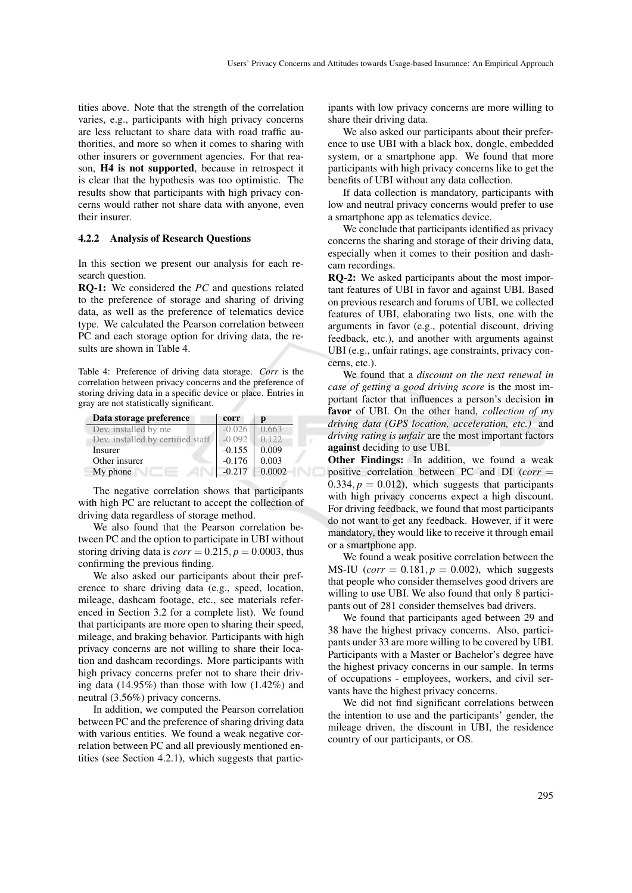tities above. Note that the strength of the correlation varies, e.g., participants with high privacy concerns are less reluctant to share data with road traffic authorities, and more so when it comes to sharing with other insurers or government agencies. For that reason, H4 is not supported, because in retrospect it is clear that the hypothesis was too optimistic. The results show that participants with high privacy concerns would rather not share data with anyone, even their insurer.

#### 4.2.2 Analysis of Research Questions

In this section we present our analysis for each research question.

RQ-1: We considered the *PC* and questions related to the preference of storage and sharing of driving data, as well as the preference of telematics device type. We calculated the Pearson correlation between PC and each storage option for driving data, the results are shown in Table 4.

Table 4: Preference of driving data storage. *Corr* is the correlation between privacy concerns and the preference of storing driving data in a specific device or place. Entries in gray are not statistically significant.

| Data storage preference           | corr     |        |
|-----------------------------------|----------|--------|
| Dev. installed by me              | $-0.026$ | 0.663  |
| Dev. installed by certified staff | $-0.092$ | 0.122  |
| Insurer                           | $-0.155$ | 0.009  |
| Other insurer                     | $-0.176$ | 0.003  |
| My phone                          | $-0.217$ | 0.0002 |

The negative correlation shows that participants with high PC are reluctant to accept the collection of driving data regardless of storage method.

We also found that the Pearson correlation between PC and the option to participate in UBI without storing driving data is  $corr = 0.215$ ,  $p = 0.0003$ , thus confirming the previous finding.

We also asked our participants about their preference to share driving data (e.g., speed, location, mileage, dashcam footage, etc., see materials referenced in Section 3.2 for a complete list). We found that participants are more open to sharing their speed, mileage, and braking behavior. Participants with high privacy concerns are not willing to share their location and dashcam recordings. More participants with high privacy concerns prefer not to share their driving data (14.95%) than those with low (1.42%) and neutral (3.56%) privacy concerns.

In addition, we computed the Pearson correlation between PC and the preference of sharing driving data with various entities. We found a weak negative correlation between PC and all previously mentioned entities (see Section 4.2.1), which suggests that participants with low privacy concerns are more willing to share their driving data.

We also asked our participants about their preference to use UBI with a black box, dongle, embedded system, or a smartphone app. We found that more participants with high privacy concerns like to get the benefits of UBI without any data collection.

If data collection is mandatory, participants with low and neutral privacy concerns would prefer to use a smartphone app as telematics device.

We conclude that participants identified as privacy concerns the sharing and storage of their driving data, especially when it comes to their position and dashcam recordings.

RQ-2: We asked participants about the most important features of UBI in favor and against UBI. Based on previous research and forums of UBI, we collected features of UBI, elaborating two lists, one with the arguments in favor (e.g., potential discount, driving feedback, etc.), and another with arguments against UBI (e.g., unfair ratings, age constraints, privacy concerns, etc.).

We found that a *discount on the next renewal in case of getting a good driving score* is the most important factor that influences a person's decision in favor of UBI. On the other hand, *collection of my driving data (GPS location, acceleration, etc.)* and *driving rating is unfair* are the most important factors against deciding to use UBI.

Other Findings: In addition, we found a weak positive correlation between PC and DI (*corr* =  $0.334, p = 0.012$ , which suggests that participants with high privacy concerns expect a high discount. For driving feedback, we found that most participants do not want to get any feedback. However, if it were mandatory, they would like to receive it through email or a smartphone app.

We found a weak positive correlation between the MS-IU (*corr* =  $0.181, p = 0.002$ ), which suggests that people who consider themselves good drivers are willing to use UBI. We also found that only 8 participants out of 281 consider themselves bad drivers.

We found that participants aged between 29 and 38 have the highest privacy concerns. Also, participants under 33 are more willing to be covered by UBI. Participants with a Master or Bachelor's degree have the highest privacy concerns in our sample. In terms of occupations - employees, workers, and civil servants have the highest privacy concerns.

We did not find significant correlations between the intention to use and the participants' gender, the mileage driven, the discount in UBI, the residence country of our participants, or OS.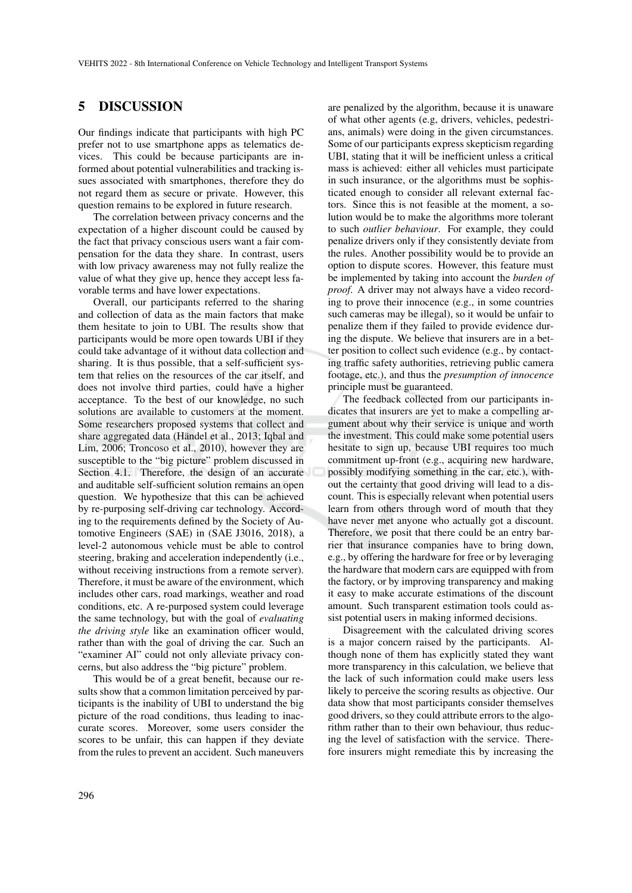### 5 DISCUSSION

Our findings indicate that participants with high PC prefer not to use smartphone apps as telematics devices. This could be because participants are informed about potential vulnerabilities and tracking issues associated with smartphones, therefore they do not regard them as secure or private. However, this question remains to be explored in future research.

The correlation between privacy concerns and the expectation of a higher discount could be caused by the fact that privacy conscious users want a fair compensation for the data they share. In contrast, users with low privacy awareness may not fully realize the value of what they give up, hence they accept less favorable terms and have lower expectations.

Overall, our participants referred to the sharing and collection of data as the main factors that make them hesitate to join to UBI. The results show that participants would be more open towards UBI if they could take advantage of it without data collection and sharing. It is thus possible, that a self-sufficient system that relies on the resources of the car itself, and does not involve third parties, could have a higher acceptance. To the best of our knowledge, no such solutions are available to customers at the moment. Some researchers proposed systems that collect and share aggregated data (Händel et al., 2013; Iqbal and Lim, 2006; Troncoso et al., 2010), however they are susceptible to the "big picture" problem discussed in Section 4.1. Therefore, the design of an accurate and auditable self-sufficient solution remains an open question. We hypothesize that this can be achieved by re-purposing self-driving car technology. According to the requirements defined by the Society of Automotive Engineers (SAE) in (SAE J3016, 2018), a level-2 autonomous vehicle must be able to control steering, braking and acceleration independently (i.e., without receiving instructions from a remote server). Therefore, it must be aware of the environment, which includes other cars, road markings, weather and road conditions, etc. A re-purposed system could leverage the same technology, but with the goal of *evaluating the driving style* like an examination officer would, rather than with the goal of driving the car. Such an "examiner AI" could not only alleviate privacy concerns, but also address the "big picture" problem.

This would be of a great benefit, because our results show that a common limitation perceived by participants is the inability of UBI to understand the big picture of the road conditions, thus leading to inaccurate scores. Moreover, some users consider the scores to be unfair, this can happen if they deviate from the rules to prevent an accident. Such maneuvers

are penalized by the algorithm, because it is unaware of what other agents (e.g, drivers, vehicles, pedestrians, animals) were doing in the given circumstances. Some of our participants express skepticism regarding UBI, stating that it will be inefficient unless a critical mass is achieved: either all vehicles must participate in such insurance, or the algorithms must be sophisticated enough to consider all relevant external factors. Since this is not feasible at the moment, a solution would be to make the algorithms more tolerant to such *outlier behaviour*. For example, they could penalize drivers only if they consistently deviate from the rules. Another possibility would be to provide an option to dispute scores. However, this feature must be implemented by taking into account the *burden of proof*. A driver may not always have a video recording to prove their innocence (e.g., in some countries such cameras may be illegal), so it would be unfair to penalize them if they failed to provide evidence during the dispute. We believe that insurers are in a better position to collect such evidence (e.g., by contacting traffic safety authorities, retrieving public camera footage, etc.), and thus the *presumption of innocence* principle must be guaranteed.

The feedback collected from our participants indicates that insurers are yet to make a compelling argument about why their service is unique and worth the investment. This could make some potential users hesitate to sign up, because UBI requires too much commitment up-front (e.g., acquiring new hardware, possibly modifying something in the car, etc.), without the certainty that good driving will lead to a discount. This is especially relevant when potential users learn from others through word of mouth that they have never met anyone who actually got a discount. Therefore, we posit that there could be an entry barrier that insurance companies have to bring down, e.g., by offering the hardware for free or by leveraging the hardware that modern cars are equipped with from the factory, or by improving transparency and making it easy to make accurate estimations of the discount amount. Such transparent estimation tools could assist potential users in making informed decisions.

Disagreement with the calculated driving scores is a major concern raised by the participants. Although none of them has explicitly stated they want more transparency in this calculation, we believe that the lack of such information could make users less likely to perceive the scoring results as objective. Our data show that most participants consider themselves good drivers, so they could attribute errors to the algorithm rather than to their own behaviour, thus reducing the level of satisfaction with the service. Therefore insurers might remediate this by increasing the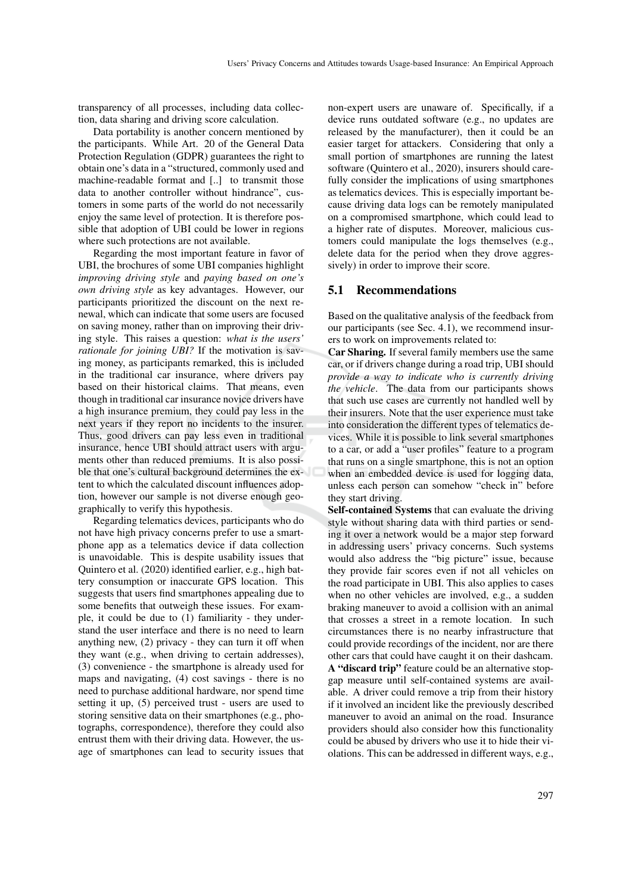transparency of all processes, including data collection, data sharing and driving score calculation.

Data portability is another concern mentioned by the participants. While Art. 20 of the General Data Protection Regulation (GDPR) guarantees the right to obtain one's data in a "structured, commonly used and machine-readable format and [..] to transmit those data to another controller without hindrance", customers in some parts of the world do not necessarily enjoy the same level of protection. It is therefore possible that adoption of UBI could be lower in regions where such protections are not available.

Regarding the most important feature in favor of UBI, the brochures of some UBI companies highlight *improving driving style* and *paying based on one's own driving style* as key advantages. However, our participants prioritized the discount on the next renewal, which can indicate that some users are focused on saving money, rather than on improving their driving style. This raises a question: *what is the users' rationale for joining UBI?* If the motivation is saving money, as participants remarked, this is included in the traditional car insurance, where drivers pay based on their historical claims. That means, even though in traditional car insurance novice drivers have a high insurance premium, they could pay less in the next years if they report no incidents to the insurer. Thus, good drivers can pay less even in traditional insurance, hence UBI should attract users with arguments other than reduced premiums. It is also possible that one's cultural background determines the extent to which the calculated discount influences adoption, however our sample is not diverse enough geographically to verify this hypothesis.

Regarding telematics devices, participants who do not have high privacy concerns prefer to use a smartphone app as a telematics device if data collection is unavoidable. This is despite usability issues that Quintero et al. (2020) identified earlier, e.g., high battery consumption or inaccurate GPS location. This suggests that users find smartphones appealing due to some benefits that outweigh these issues. For example, it could be due to (1) familiarity - they understand the user interface and there is no need to learn anything new, (2) privacy - they can turn it off when they want (e.g., when driving to certain addresses), (3) convenience - the smartphone is already used for maps and navigating, (4) cost savings - there is no need to purchase additional hardware, nor spend time setting it up, (5) perceived trust - users are used to storing sensitive data on their smartphones (e.g., photographs, correspondence), therefore they could also entrust them with their driving data. However, the usage of smartphones can lead to security issues that

non-expert users are unaware of. Specifically, if a device runs outdated software (e.g., no updates are released by the manufacturer), then it could be an easier target for attackers. Considering that only a small portion of smartphones are running the latest software (Quintero et al., 2020), insurers should carefully consider the implications of using smartphones as telematics devices. This is especially important because driving data logs can be remotely manipulated on a compromised smartphone, which could lead to a higher rate of disputes. Moreover, malicious customers could manipulate the logs themselves (e.g., delete data for the period when they drove aggressively) in order to improve their score.

#### 5.1 Recommendations

Based on the qualitative analysis of the feedback from our participants (see Sec. 4.1), we recommend insurers to work on improvements related to:

Car Sharing. If several family members use the same car, or if drivers change during a road trip, UBI should *provide a way to indicate who is currently driving the vehicle*. The data from our participants shows that such use cases are currently not handled well by their insurers. Note that the user experience must take into consideration the different types of telematics devices. While it is possible to link several smartphones to a car, or add a "user profiles" feature to a program that runs on a single smartphone, this is not an option when an embedded device is used for logging data, unless each person can somehow "check in" before they start driving.

Self-contained Systems that can evaluate the driving style without sharing data with third parties or sending it over a network would be a major step forward in addressing users' privacy concerns. Such systems would also address the "big picture" issue, because they provide fair scores even if not all vehicles on the road participate in UBI. This also applies to cases when no other vehicles are involved, e.g., a sudden braking maneuver to avoid a collision with an animal that crosses a street in a remote location. In such circumstances there is no nearby infrastructure that could provide recordings of the incident, nor are there other cars that could have caught it on their dashcam. A "discard trip" feature could be an alternative stopgap measure until self-contained systems are available. A driver could remove a trip from their history if it involved an incident like the previously described maneuver to avoid an animal on the road. Insurance providers should also consider how this functionality could be abused by drivers who use it to hide their violations. This can be addressed in different ways, e.g.,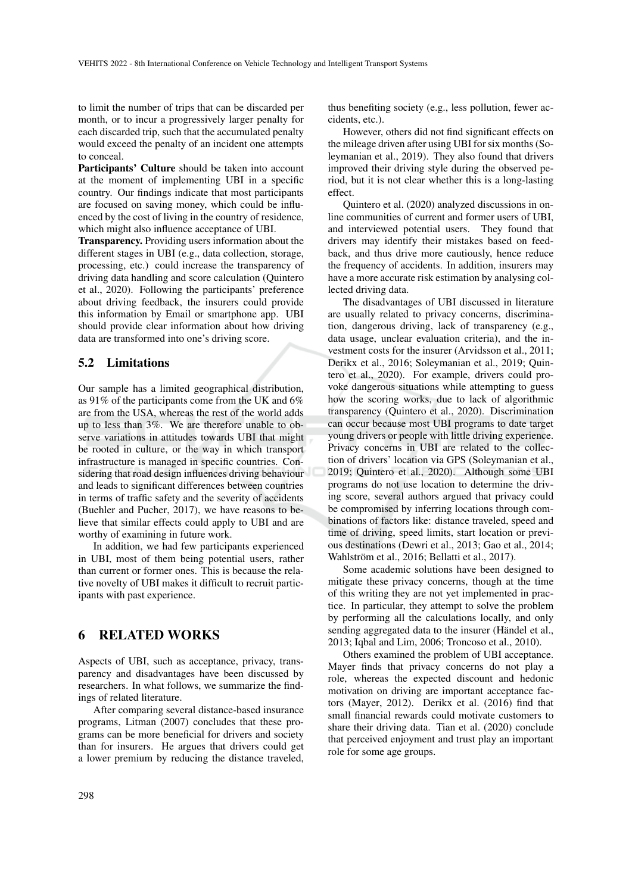to limit the number of trips that can be discarded per month, or to incur a progressively larger penalty for each discarded trip, such that the accumulated penalty would exceed the penalty of an incident one attempts to conceal.

Participants' Culture should be taken into account at the moment of implementing UBI in a specific country. Our findings indicate that most participants are focused on saving money, which could be influenced by the cost of living in the country of residence, which might also influence acceptance of UBI.

Transparency. Providing users information about the different stages in UBI (e.g., data collection, storage, processing, etc.) could increase the transparency of driving data handling and score calculation (Quintero et al., 2020). Following the participants' preference about driving feedback, the insurers could provide this information by Email or smartphone app. UBI should provide clear information about how driving data are transformed into one's driving score.

#### 5.2 Limitations

Our sample has a limited geographical distribution, as 91% of the participants come from the UK and 6% are from the USA, whereas the rest of the world adds up to less than 3%. We are therefore unable to observe variations in attitudes towards UBI that might be rooted in culture, or the way in which transport infrastructure is managed in specific countries. Considering that road design influences driving behaviour and leads to significant differences between countries in terms of traffic safety and the severity of accidents (Buehler and Pucher, 2017), we have reasons to believe that similar effects could apply to UBI and are worthy of examining in future work.

In addition, we had few participants experienced in UBI, most of them being potential users, rather than current or former ones. This is because the relative novelty of UBI makes it difficult to recruit participants with past experience.

## 6 RELATED WORKS

Aspects of UBI, such as acceptance, privacy, transparency and disadvantages have been discussed by researchers. In what follows, we summarize the findings of related literature.

After comparing several distance-based insurance programs, Litman (2007) concludes that these programs can be more beneficial for drivers and society than for insurers. He argues that drivers could get a lower premium by reducing the distance traveled,

thus benefiting society (e.g., less pollution, fewer accidents, etc.).

However, others did not find significant effects on the mileage driven after using UBI for six months (Soleymanian et al., 2019). They also found that drivers improved their driving style during the observed period, but it is not clear whether this is a long-lasting effect.

Quintero et al. (2020) analyzed discussions in online communities of current and former users of UBI, and interviewed potential users. They found that drivers may identify their mistakes based on feedback, and thus drive more cautiously, hence reduce the frequency of accidents. In addition, insurers may have a more accurate risk estimation by analysing collected driving data.

The disadvantages of UBI discussed in literature are usually related to privacy concerns, discrimination, dangerous driving, lack of transparency (e.g., data usage, unclear evaluation criteria), and the investment costs for the insurer (Arvidsson et al., 2011; Derikx et al., 2016; Soleymanian et al., 2019; Quintero et al., 2020). For example, drivers could provoke dangerous situations while attempting to guess how the scoring works, due to lack of algorithmic transparency (Quintero et al., 2020). Discrimination can occur because most UBI programs to date target young drivers or people with little driving experience. Privacy concerns in UBI are related to the collection of drivers' location via GPS (Soleymanian et al., 2019; Quintero et al., 2020). Although some UBI programs do not use location to determine the driving score, several authors argued that privacy could be compromised by inferring locations through combinations of factors like: distance traveled, speed and time of driving, speed limits, start location or previous destinations (Dewri et al., 2013; Gao et al., 2014; Wahlström et al., 2016; Bellatti et al., 2017).

Some academic solutions have been designed to mitigate these privacy concerns, though at the time of this writing they are not yet implemented in practice. In particular, they attempt to solve the problem by performing all the calculations locally, and only sending aggregated data to the insurer (Händel et al., 2013; Iqbal and Lim, 2006; Troncoso et al., 2010).

Others examined the problem of UBI acceptance. Mayer finds that privacy concerns do not play a role, whereas the expected discount and hedonic motivation on driving are important acceptance factors (Mayer, 2012). Derikx et al. (2016) find that small financial rewards could motivate customers to share their driving data. Tian et al. (2020) conclude that perceived enjoyment and trust play an important role for some age groups.